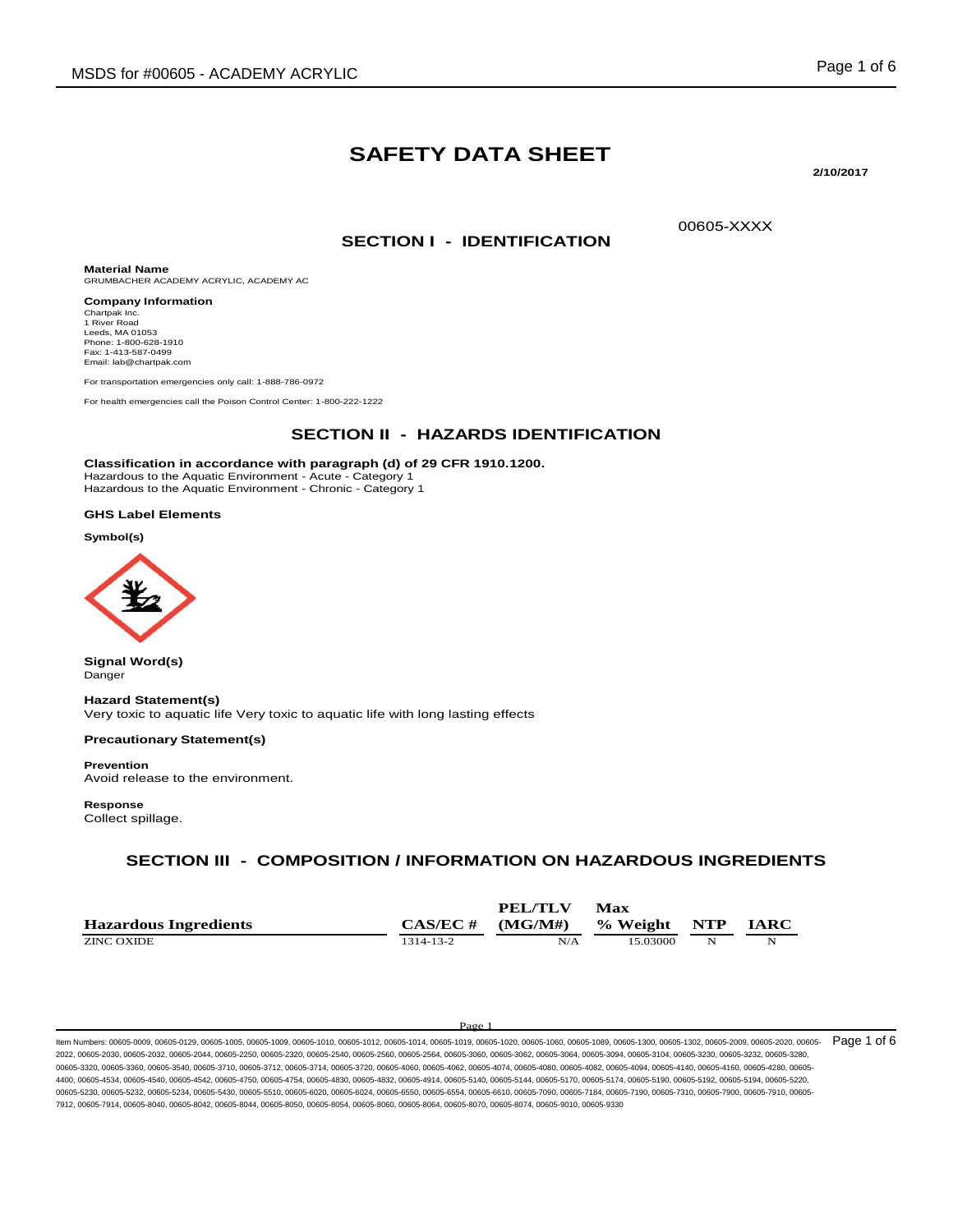# **SAFETY DATA SHEET**

**2/10/2017**

00605-XXXX

**SECTION I - IDENTIFICATION**

**Material Name** GRUMBACHER ACADEMY ACRYLIC, ACADEMY AC **Company Information**

Chartpak Inc. 1 River Road Leeds, MA 01053 Phone: 1-800-628-1910 Fax: 1-413-587-0499 Email: lab@chartpak.com

For transportation emergencies only call: 1-888-786-0972

For health emergencies call the Poison Control Center: 1-800-222-1222

### **SECTION II - HAZARDS IDENTIFICATION**

**Classification in accordance with paragraph (d) of 29 CFR 1910.1200.**

Hazardous to the Aquatic Environment - Acute - Category 1 Hazardous to the Aquatic Environment - Chronic - Category 1

### **GHS Label Elements**

**Symbol(s)**



**Signal Word(s)** Danger

**Hazard Statement(s)**

Very toxic to aquatic life Very toxic to aquatic life with long lasting effects

### **Precautionary Statement(s)**

**Prevention** Avoid release to the environment.

**Response** Collect spillage.

### **SECTION III - COMPOSITION / INFORMATION ON HAZARDOUS INGREDIENTS**

|                              |           | <b>PEL/TLV</b> | Max          |   |             |
|------------------------------|-----------|----------------|--------------|---|-------------|
| <b>Hazardous Ingredients</b> | CAS/EC #  | (MG/M#)        | % Weight NTP |   | <b>IARC</b> |
| ZINC OXIDE                   | 1314-13-2 | N/A            | 15.03000     | N | N           |

#### Page

ltem Numbers: 00605-0009, 00605-0129, 00605-1005, 00605-1009, 00605-1010, 00605-1012, 00605-1014, 00605-1019, 00605-1020, 00605-1060, 00605-1089, 00605-1089, 00605-1302, 00605-1302, 00605-2009, 00605-2020, 00605-1202, 0060 2022, 00605-2030, 00605-2032, 00605-2044, 00605-2250, 00605-2320, 00605-2540, 00605-2560, 00605-2564, 00605-3060, 00605-3062, 00605-3064, 00605-3094, 00605-3104, 00605-3230, 00605-3232, 00605-3280, 00605-3320, 00605-3360, 00605-3540, 00605-3710, 00605-3712, 00605-3714, 00605-3720, 00605-4060, 00605-4062, 00605-4074, 00605-4080, 00605-4082, 00605-4094, 00605-4140, 00605-4160, 00605-4280, 00605- 4400, 00605-4534, 00605-4540, 00605-4542, 00605-4750, 00605-4754, 00605-4830, 00605-4832, 00605-4914, 00605-5140, 00605-5144, 00605-5170, 00605-5174, 00605-5190, 00605-5192, 00605-5194, 00605-5220, 00605-5230, 00605-5232, 00605-5234, 00605-5430, 00605-5510, 00605-6020, 00605-6024, 00605-6550, 00605-6554, 00605-6610, 00605-7090, 00605-7184, 00605-7190, 00605-7310, 00605-7900, 00605-7910, 00605- 7912, 00605-7914, 00605-8040, 00605-8042, 00605-8044, 00605-8050, 00605-8054, 00605-8060, 00605-8064, 00605-8070, 00605-8074, 00605-9010, 00605-9330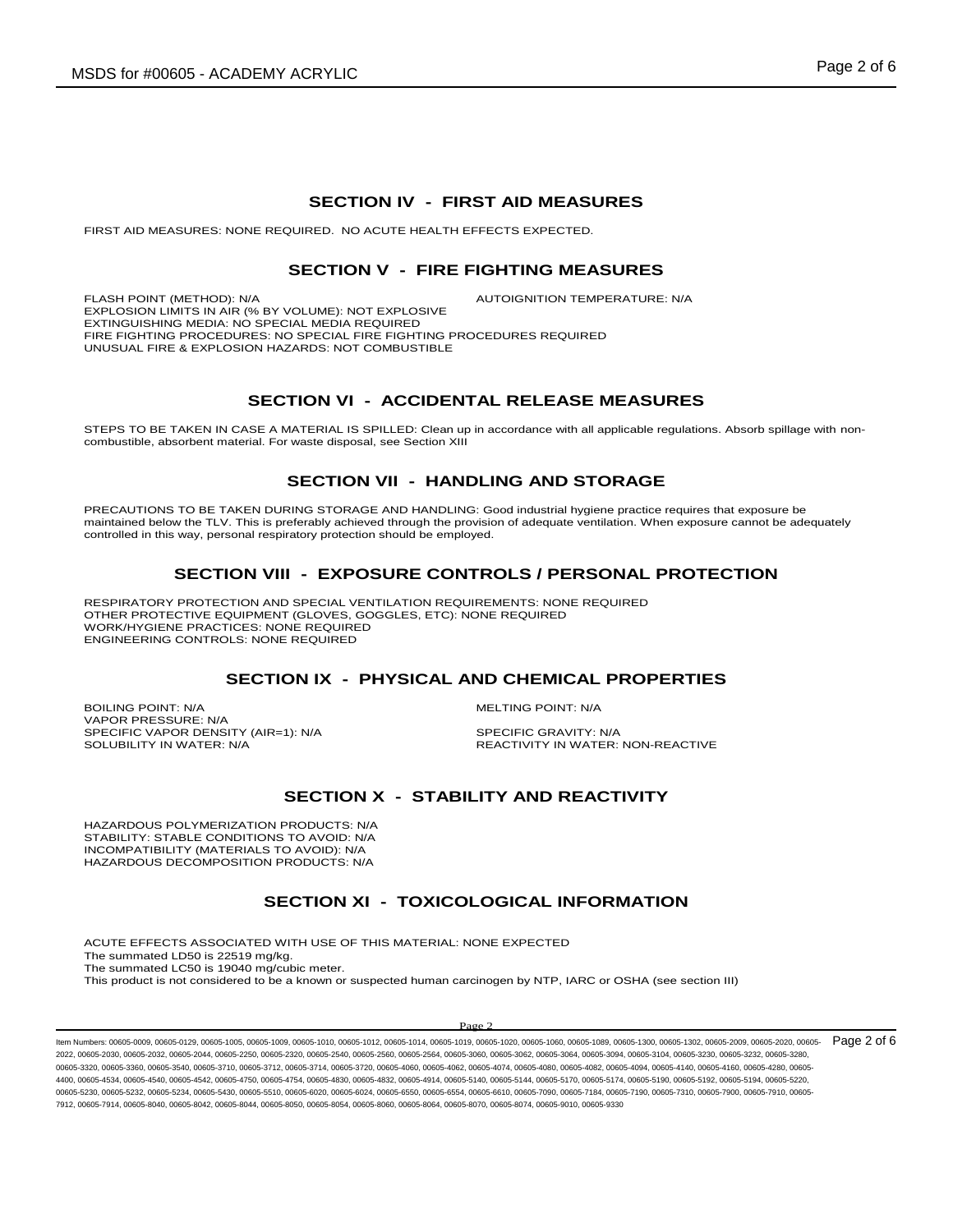### **SECTION IV - FIRST AID MEASURES**

FIRST AID MEASURES: NONE REQUIRED. NO ACUTE HEALTH EFFECTS EXPECTED.

### **SECTION V - FIRE FIGHTING MEASURES**

FLASH POINT (METHOD): N/A **AUTOIGNITION TEMPERATURE: N/A** EXPLOSION LIMITS IN AIR (% BY VOLUME): NOT EXPLOSIVE EXTINGUISHING MEDIA: NO SPECIAL MEDIA REQUIRED FIRE FIGHTING PROCEDURES: NO SPECIAL FIRE FIGHTING PROCEDURES REQUIRED UNUSUAL FIRE & EXPLOSION HAZARDS: NOT COMBUSTIBLE

### **SECTION VI - ACCIDENTAL RELEASE MEASURES**

STEPS TO BE TAKEN IN CASE A MATERIAL IS SPILLED: Clean up in accordance with all applicable regulations. Absorb spillage with noncombustible, absorbent material. For waste disposal, see Section XIII

### **SECTION VII - HANDLING AND STORAGE**

PRECAUTIONS TO BE TAKEN DURING STORAGE AND HANDLING: Good industrial hygiene practice requires that exposure be maintained below the TLV. This is preferably achieved through the provision of adequate ventilation. When exposure cannot be adequately controlled in this way, personal respiratory protection should be employed.

# **SECTION VIII - EXPOSURE CONTROLS / PERSONAL PROTECTION**

RESPIRATORY PROTECTION AND SPECIAL VENTILATION REQUIREMENTS: NONE REQUIRED OTHER PROTECTIVE EQUIPMENT (GLOVES, GOGGLES, ETC): NONE REQUIRED WORK/HYGIENE PRACTICES: NONE REQUIRED ENGINEERING CONTROLS: NONE REQUIRED

### **SECTION IX - PHYSICAL AND CHEMICAL PROPERTIES**

BOILING POINT: N/A MELTING POINT: N/A VAPOR PRESSURE: N/A SPECIFIC VAPOR DENSITY (AIR=1): N/A SPECIFIC GRAVITY: N/A<br>SOLUBILITY IN WATER: N/A SOLUBILITY IN WATER:

REACTIVITY IN WATER: NON-REACTIVE

## **SECTION X - STABILITY AND REACTIVITY**

HAZARDOUS POLYMERIZATION PRODUCTS: N/A STABILITY: STABLE CONDITIONS TO AVOID: N/A INCOMPATIBILITY (MATERIALS TO AVOID): N/A HAZARDOUS DECOMPOSITION PRODUCTS: N/A

### **SECTION XI - TOXICOLOGICAL INFORMATION**

ACUTE EFFECTS ASSOCIATED WITH USE OF THIS MATERIAL: NONE EXPECTED The summated LD50 is 22519 mg/kg. The summated LC50 is 19040 mg/cubic meter. This product is not considered to be a known or suspected human carcinogen by NTP, IARC or OSHA (see section III)

#### $\mathbf{p}_{\alpha}$

ltem Numbers: 00605-0009, 00605-0129, 00605-1005, 00605-1009, 00605-1010, 00605-1012, 00605-1014, 00605-1019, 00605-1020, 00605-1080, 00605-1089, 00605-1080, 00605-1302, 00605-1302, 00605-2009, 00605-2020, 00605-1202, 0060 2022, 00605-2030, 00605-2032, 00605-2044, 00605-2250, 00605-2320, 00605-2540, 00605-2560, 00605-2564, 00605-3060, 00605-3062, 00605-3064, 00605-3094, 00605-3104, 00605-3230, 00605-3232, 00605-3280, 00605-3320, 00605-3360, 00605-3540, 00605-3710, 00605-3712, 00605-3714, 00605-3720, 00605-4060, 00605-4062, 00605-4074, 00605-4080, 00605-4082, 00605-4094, 00605-4140, 00605-4160, 00605-4280, 00605- 4400, 00605-4534, 00605-4540, 00605-4542, 00605-4750, 00605-4754, 00605-4830, 00605-4832, 00605-4914, 00605-5140, 00605-5144, 00605-5170, 00605-5174, 00605-5190, 00605-5192, 00605-5194, 00605-5220, 00605-5230, 00605-5232, 00605-5234, 00605-5430, 00605-5510, 00605-6020, 00605-6024, 00605-6550, 00605-6554, 00605-6610, 00605-7900, 00605-7184, 00605-7190, 00605-7310, 00605-7310, 00605-7900, 00605-7310, 00605-7910, 00605-7 7912, 00605-7914, 00605-8040, 00605-8042, 00605-8044, 00605-8050, 00605-8054, 00605-8060, 00605-8064, 00605-8070, 00605-8074, 00605-9010, 00605-9330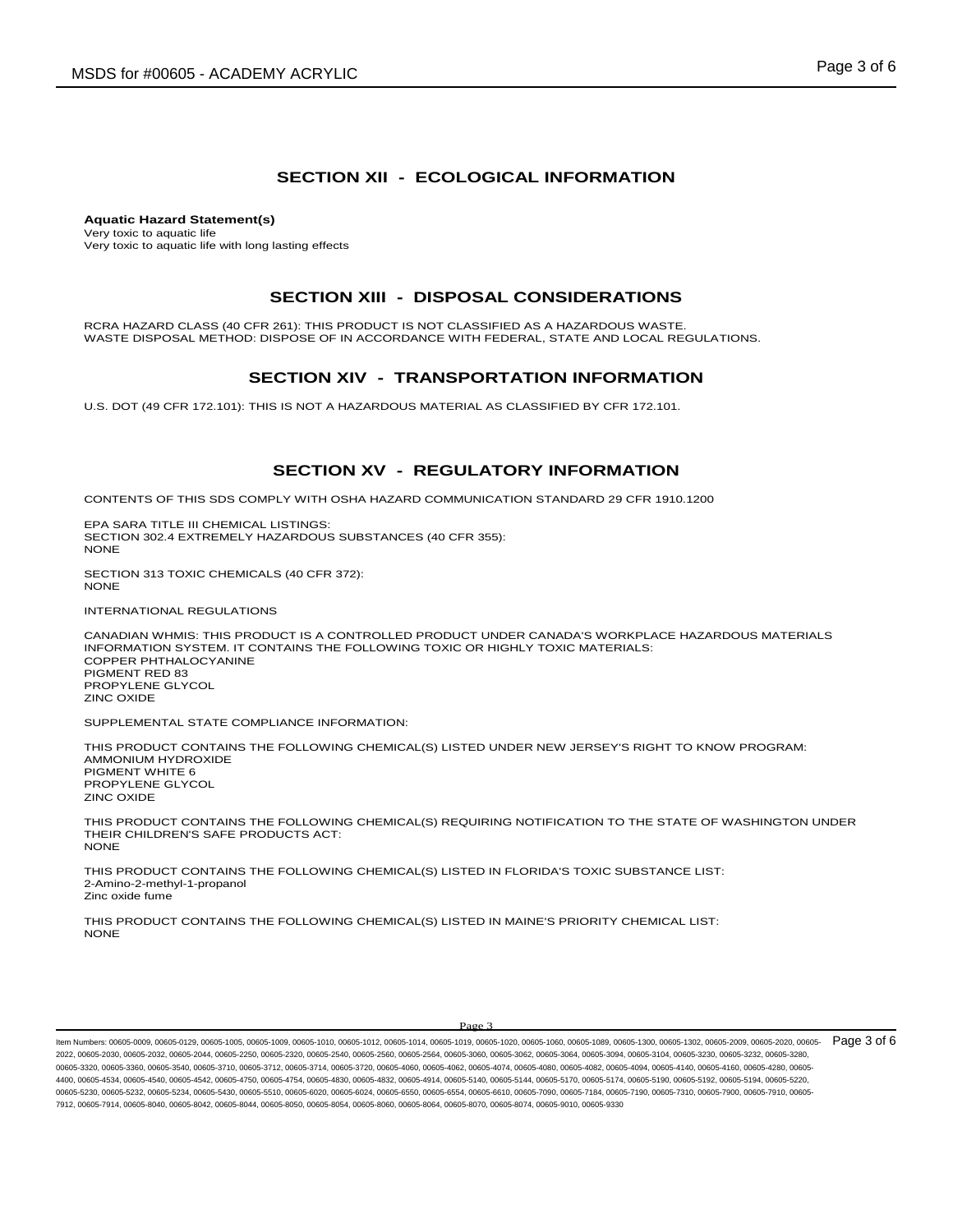# **SECTION XII - ECOLOGICAL INFORMATION**

**Aquatic Hazard Statement(s)** Very toxic to aquatic life Very toxic to aquatic life with long lasting effects

### **SECTION XIII - DISPOSAL CONSIDERATIONS**

RCRA HAZARD CLASS (40 CFR 261): THIS PRODUCT IS NOT CLASSIFIED AS A HAZARDOUS WASTE. WASTE DISPOSAL METHOD: DISPOSE OF IN ACCORDANCE WITH FEDERAL, STATE AND LOCAL REGULATIONS.

### **SECTION XIV - TRANSPORTATION INFORMATION**

U.S. DOT (49 CFR 172.101): THIS IS NOT A HAZARDOUS MATERIAL AS CLASSIFIED BY CFR 172.101.

### **SECTION XV - REGULATORY INFORMATION**

CONTENTS OF THIS SDS COMPLY WITH OSHA HAZARD COMMUNICATION STANDARD 29 CFR 1910.1200

EPA SARA TITLE III CHEMICAL LISTINGS: SECTION 302.4 EXTREMELY HAZARDOUS SUBSTANCES (40 CFR 355): NONE

SECTION 313 TOXIC CHEMICALS (40 CFR 372): NONE

INTERNATIONAL REGULATIONS

CANADIAN WHMIS: THIS PRODUCT IS A CONTROLLED PRODUCT UNDER CANADA'S WORKPLACE HAZARDOUS MATERIALS INFORMATION SYSTEM. IT CONTAINS THE FOLLOWING TOXIC OR HIGHLY TOXIC MATERIALS: COPPER PHTHALOCYANINE PIGMENT RED 83 PROPYLENE GLYCOL ZINC OXIDE

SUPPLEMENTAL STATE COMPLIANCE INFORMATION:

THIS PRODUCT CONTAINS THE FOLLOWING CHEMICAL(S) LISTED UNDER NEW JERSEY'S RIGHT TO KNOW PROGRAM: AMMONIUM HYDROXIDE PIGMENT WHITE 6 PROPYLENE GLYCOL ZINC OXIDE

THIS PRODUCT CONTAINS THE FOLLOWING CHEMICAL(S) REQUIRING NOTIFICATION TO THE STATE OF WASHINGTON UNDER THEIR CHILDREN'S SAFE PRODUCTS ACT: **NONE** 

THIS PRODUCT CONTAINS THE FOLLOWING CHEMICAL(S) LISTED IN FLORIDA'S TOXIC SUBSTANCE LIST: 2-Amino-2-methyl-1-propanol Zinc oxide fume

THIS PRODUCT CONTAINS THE FOLLOWING CHEMICAL(S) LISTED IN MAINE'S PRIORITY CHEMICAL LIST: **NONE** 

#### Page 3

ltem Numbers: 00605-0009, 00605-0129, 00605-1005, 00605-1009, 00605-1010, 00605-1012, 00605-1014, 00605-1019, 00605-1020, 00605-1080, 00605-1089, 00605-1080, 00605-1302, 00605-1302, 00605-2009, 00605-2020, 00605-1202, 0060 2022, 00605-2030, 00605-2032, 00605-2044, 00605-2250, 00605-2320, 00605-2540, 00605-2560, 00605-2564, 00605-3060, 00605-3062, 00605-3064, 00605-3094, 00605-3104, 00605-3230, 00605-3232, 00605-3280, 00605-3320, 00605-3360, 00605-3540, 00605-3710, 00605-3712, 00605-3714, 00605-3720, 00605-4060, 00605-4062, 00605-4074, 00605-4080, 00605-4082, 00605-4094, 00605-4140, 00605-4160, 00605-4280, 00605- 4400, 00605-4534, 00605-4540, 00605-4542, 00605-4750, 00605-4754, 00605-4830, 00605-4832, 00605-4914, 00605-5140, 00605-5144, 00605-5170, 00605-5174, 00605-5190, 00605-5192, 00605-5194, 00605-5220, 00605-5230, 00605-5232, 00605-5234, 00605-5430, 00605-5510, 00605-6020, 00605-6024, 00605-6550, 00605-6554, 00605-6610, 00605-7900, 00605-7184, 00605-7190, 00605-7310, 00605-7310, 00605-7900, 00605-7310, 00605-7910, 00605-7 7912, 00605-7914, 00605-8040, 00605-8042, 00605-8044, 00605-8050, 00605-8054, 00605-8060, 00605-8064, 00605-8070, 00605-8074, 00605-9010, 00605-9330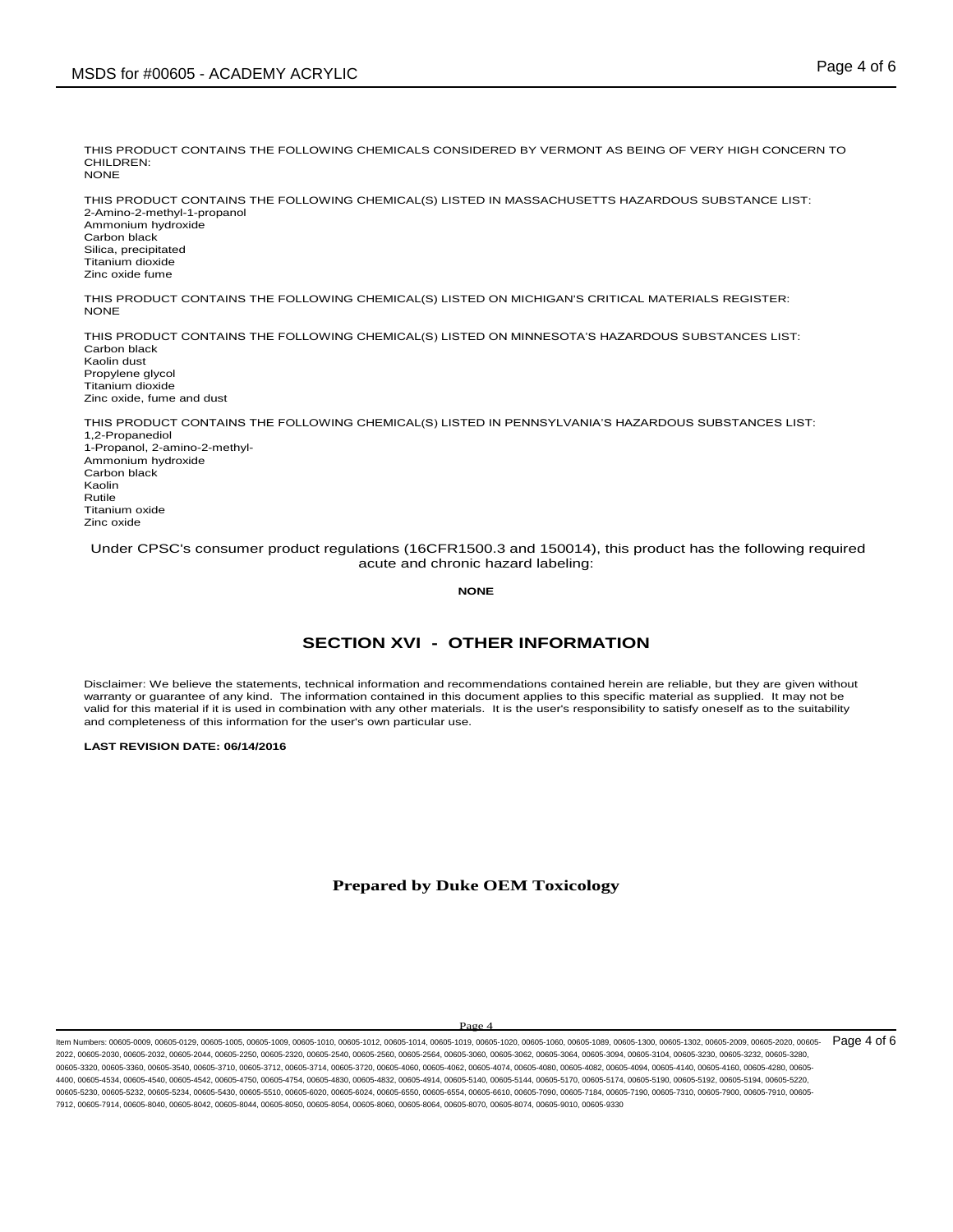THIS PRODUCT CONTAINS THE FOLLOWING CHEMICALS CONSIDERED BY VERMONT AS BEING OF VERY HIGH CONCERN TO CHILDREN: **NONE** 

THIS PRODUCT CONTAINS THE FOLLOWING CHEMICAL(S) LISTED IN MASSACHUSETTS HAZARDOUS SUBSTANCE LIST: 2-Amino-2-methyl-1-propanol Ammonium hydroxide Carbon black Silica, precipitated Titanium dioxide Zinc oxide fume

THIS PRODUCT CONTAINS THE FOLLOWING CHEMICAL(S) LISTED ON MICHIGAN'S CRITICAL MATERIALS REGISTER: **NONE** 

THIS PRODUCT CONTAINS THE FOLLOWING CHEMICAL(S) LISTED ON MINNESOTA'S HAZARDOUS SUBSTANCES LIST: Carbon black Kaolin dust Propylene glycol Titanium dioxide Zinc oxide, fume and dust

THIS PRODUCT CONTAINS THE FOLLOWING CHEMICAL(S) LISTED IN PENNSYLVANIA'S HAZARDOUS SUBSTANCES LIST: 1,2-Propanediol 1-Propanol, 2-amino-2-methyl-Ammonium hydroxide Carbon black Kaolin Rutile Titanium oxide Zinc oxide

Under CPSC's consumer product regulations (16CFR1500.3 and 150014), this product has the following required acute and chronic hazard labeling:

**NONE**

## **SECTION XVI - OTHER INFORMATION**

Disclaimer: We believe the statements, technical information and recommendations contained herein are reliable, but they are given without warranty or guarantee of any kind. The information contained in this document applies to this specific material as supplied. It may not be valid for this material if it is used in combination with any other materials. It is the user's responsibility to satisfy oneself as to the suitability and completeness of this information for the user's own particular use.

### **LAST REVISION DATE: 06/14/2016**

### **Prepared by Duke OEM Toxicology**

### Page 4

ltem Numbers: 00605-0009, 00605-0129, 00605-1005, 00605-1009, 00605-1010, 00605-1012, 00605-1014, 00605-1019, 00605-1020, 00605-1080, 00605-1089, 00605-1080, 00605-1302, 00605-1302, 00605-2009, 00605-2020, 00605-1202, 0060 2022, 00605-2030, 00605-2032, 00605-2044, 00605-2250, 00605-2320, 00605-2540, 00605-2560, 00605-2564, 00605-3060, 00605-3062, 00605-3064, 00605-3094, 00605-3104, 00605-3230, 00605-3232, 00605-3280, 00605-3320, 00605-3360, 00605-3540, 00605-3710, 00605-3712, 00605-3714, 00605-3720, 00605-4060, 00605-4062, 00605-4074, 00605-4080, 00605-4082, 00605-4094, 00605-4140, 00605-4160, 00605-4280, 00605- 4400, 00605-4534, 00605-4540, 00605-4542, 00605-4750, 00605-4754, 00605-4830, 00605-4832, 00605-4914, 00605-5140, 00605-5144, 00605-5170, 00605-5174, 00605-5190, 00605-5192, 00605-5194, 00605-5220, 00605-5230, 00605-5232, 00605-5234, 00605-5430, 00605-5510, 00605-6020, 00605-6024, 00605-6550, 00605-6554, 00605-6610, 00605-7090, 00605-7184, 00605-7190, 00605-7310, 00605-7900, 00605-7910, 00605- 7912, 00605-7914, 00605-8040, 00605-8042, 00605-8044, 00605-8050, 00605-8054, 00605-8060, 00605-8064, 00605-8070, 00605-8074, 00605-9010, 00605-9330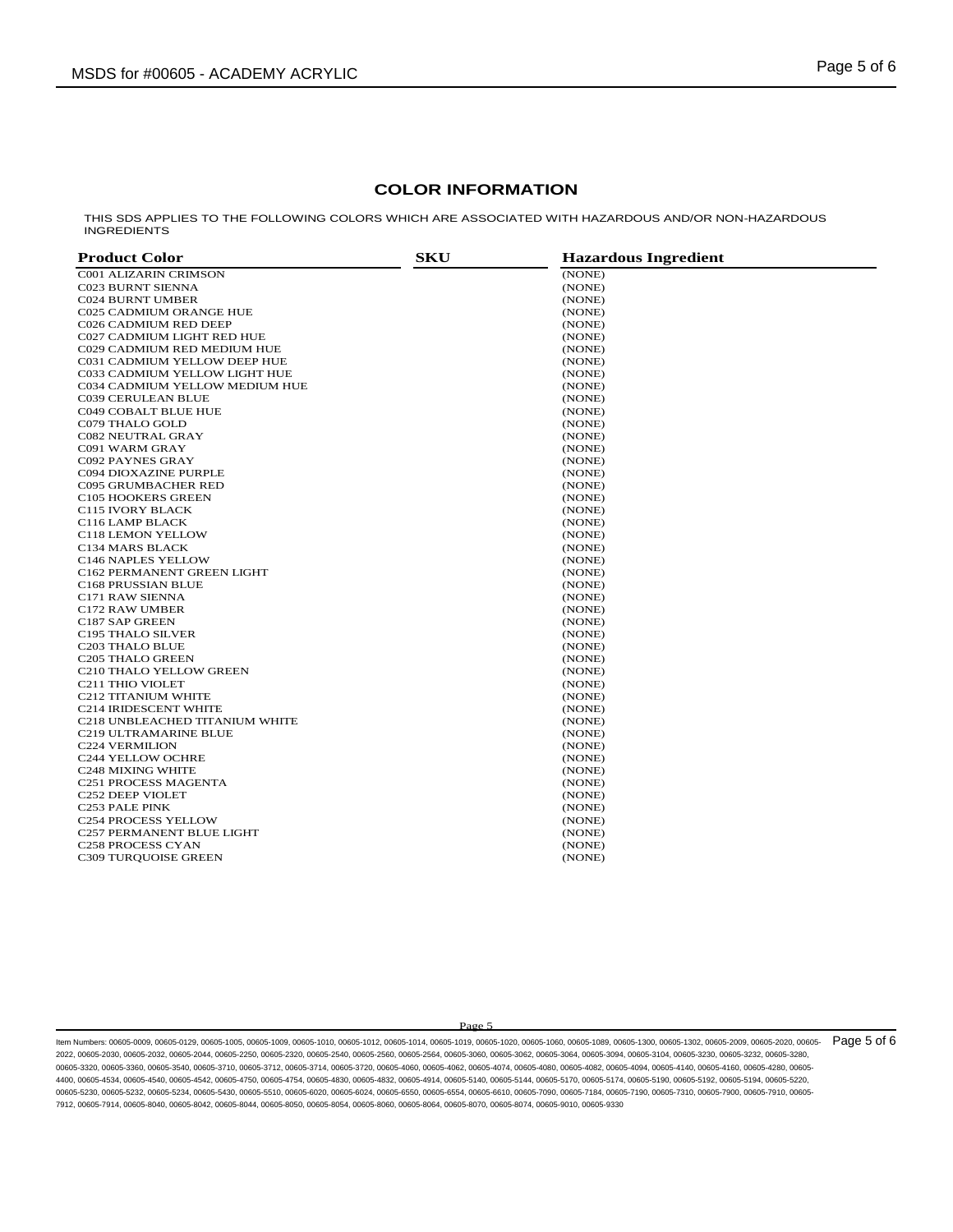### **COLOR INFORMATION**

THIS SDS APPLIES TO THE FOLLOWING COLORS WHICH ARE ASSOCIATED WITH HAZARDOUS AND/OR NON-HAZARDOUS INGREDIENTS

| <b>Product Color</b>           | <b>SKU</b> | <b>Hazardous Ingredient</b> |  |
|--------------------------------|------------|-----------------------------|--|
| <b>C001 ALIZARIN CRIMSON</b>   |            | (NONE)                      |  |
| <b>C023 BURNT SIENNA</b>       |            | (NONE)                      |  |
| <b>C024 BURNT UMBER</b>        |            | (NONE)                      |  |
| <b>C025 CADMIUM ORANGE HUE</b> |            | (NONE)                      |  |
| C026 CADMIUM RED DEEP          |            | (NONE)                      |  |
| C027 CADMIUM LIGHT RED HUE     |            | (NONE)                      |  |
| C029 CADMIUM RED MEDIUM HUE    |            | (NONE)                      |  |
| C031 CADMIUM YELLOW DEEP HUE   |            | (NONE)                      |  |
| C033 CADMIUM YELLOW LIGHT HUE  |            | (NONE)                      |  |
| C034 CADMIUM YELLOW MEDIUM HUE |            | (NONE)                      |  |
| C039 CERULEAN BLUE             |            | (NONE)                      |  |
| C049 COBALT BLUE HUE           |            | (NONE)                      |  |
| C079 THALO GOLD                |            | (NONE)                      |  |
| <b>C082 NEUTRAL GRAY</b>       |            | (NONE)                      |  |
| C091 WARM GRAY                 |            | (NONE)                      |  |
| C092 PAYNES GRAY               |            | (NONE)                      |  |
| C094 DIOXAZINE PURPLE          |            | (NONE)                      |  |
| <b>C095 GRUMBACHER RED</b>     |            | (NONE)                      |  |
| C105 HOOKERS GREEN             |            | (NONE)                      |  |
| C115 IVORY BLACK               |            | (NONE)                      |  |
| C116 LAMP BLACK                |            | (NONE)                      |  |
| C118 LEMON YELLOW              |            | (NONE)                      |  |
| C134 MARS BLACK                |            | (NONE)                      |  |
| C146 NAPLES YELLOW             |            | (NONE)                      |  |
| C162 PERMANENT GREEN LIGHT     |            | (NONE)                      |  |
| C168 PRUSSIAN BLUE             |            | (NONE)                      |  |
| C171 RAW SIENNA                |            | (NONE)                      |  |
| C172 RAW UMBER                 |            | (NONE)                      |  |
| C187 SAP GREEN                 |            | (NONE)                      |  |
| C195 THALO SILVER              |            | (NONE)                      |  |
| C203 THALO BLUE                |            | (NONE)                      |  |
| C205 THALO GREEN               |            | (NONE)                      |  |
| C210 THALO YELLOW GREEN        |            | (NONE)                      |  |
| C211 THIO VIOLET               |            | (NONE)                      |  |
| C212 TITANIUM WHITE            |            | (NONE)                      |  |
| <b>C214 IRIDESCENT WHITE</b>   |            | (NONE)                      |  |
| C218 UNBLEACHED TITANIUM WHITE |            | (NONE)                      |  |
| <b>C219 ULTRAMARINE BLUE</b>   |            | (NONE)                      |  |
| <b>C224 VERMILION</b>          |            | (NONE)                      |  |
| C244 YELLOW OCHRE              |            | (NONE)                      |  |
| C248 MIXING WHITE              |            | (NONE)                      |  |
| C251 PROCESS MAGENTA           |            | (NONE)                      |  |
| C252 DEEP VIOLET               |            | (NONE)                      |  |
| C253 PALE PINK                 |            | (NONE)                      |  |
| C254 PROCESS YELLOW            |            | (NONE)                      |  |
| C257 PERMANENT BLUE LIGHT      |            | (NONE)                      |  |
| C258 PROCESS CYAN              |            | (NONE)                      |  |
| C309 TURQUOISE GREEN           |            | (NONE)                      |  |
|                                |            |                             |  |

Page 5

ltem Numbers: 00605-0009, 00605-0129, 00605-1005, 00605-1009, 00605-1010, 00605-1012, 00605-1014, 00605-1019, 00605-1020, 00605-1080, 00605-1089, 00605-1080, 00605-1302, 00605-1302, 00605-2009, 00605-2020, 00605-1202, 0060 2022, 00605-2030, 00605-2032, 00605-2044, 00605-2250, 00605-2320, 00605-2540, 00605-2560, 00605-2564, 00605-3060, 00605-3062, 00605-3064, 00605-3094, 00605-3104, 00605-3230, 00605-3232, 00605-3280, 00605-3320, 00605-3360, 00605-3540, 00605-3710, 00605-3712, 00605-3714, 00605-3720, 00605-4060, 00605-4062, 00605-4074, 00605-4080, 00605-4082, 00605-4094, 00605-4140, 00605-4160, 00605-4280, 00605- 4400, 00605-4534, 00605-4540, 00605-4542, 00605-4750, 00605-4754, 00605-4830, 00605-4832, 00605-4914, 00605-5140, 00605-5144, 00605-5170, 00605-5174, 00605-5190, 00605-5192, 00605-5194, 00605-5220, 00605-5230, 00605-5232, 00605-5234, 00605-5430, 00605-5510, 00605-6020, 00605-6024, 00605-6550, 00605-6554, 00605-6610, 00605-7090, 00605-7184, 00605-7190, 00605-7310, 00605-7900, 00605-7910, 00605- 7912, 00605-7914, 00605-8040, 00605-8042, 00605-8044, 00605-8050, 00605-8054, 00605-8060, 00605-8064, 00605-8070, 00605-8074, 00605-9010, 00605-9330